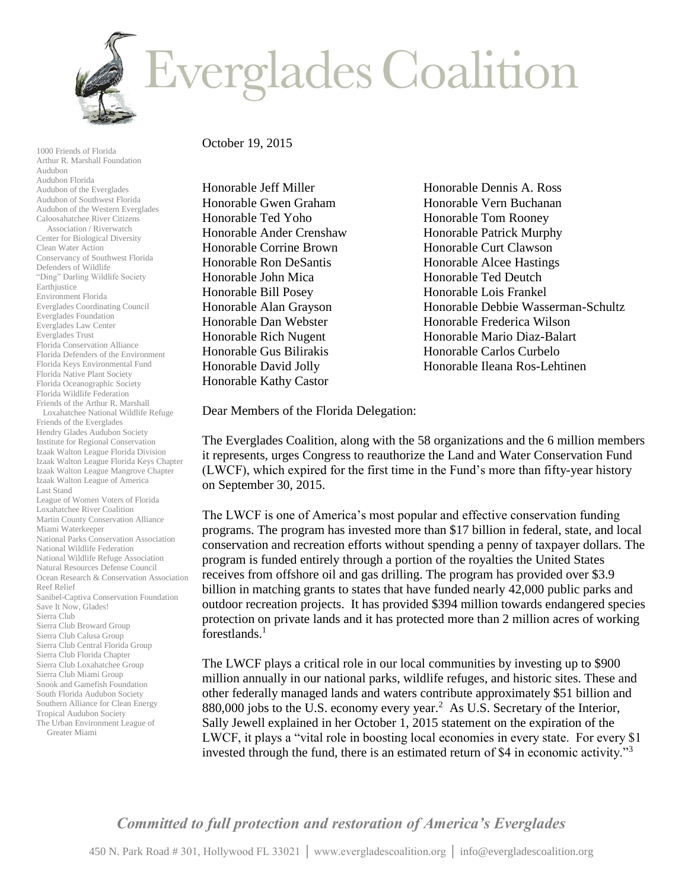

1000 Friends of Florida Arthur R. Marshall Foundation Audubon Audubon Florida Audubon of the Everglades Audubon of Southwest Florida Audubon of the Western Everglades Caloosahatchee River Citizens Association / Riverwatch Center for Biological Diversity Clean Water Action Conservancy of Southwest Florida Defenders of Wildlife "Ding" Darling Wildlife Society Earthjustice Environment Florida Everglades Coordinating Council Everglades Foundation Everglades Law Center Everglades Trust Florida Conservation Alliance Florida Defenders of the Environment Florida Keys Environmental Fund Florida Native Plant Society Florida Oceanographic Society Florida Wildlife Federation Friends of the Arthur R. Marshall Loxahatchee National Wildlife Refuge Friends of the Everglades Hendry Glades Audubon Society Institute for Regional Conservation Izaak Walton League Florida Division Izaak Walton League Florida Keys Chapter Izaak Walton League Mangrove Chapter Izaak Walton League of America Last Stand League of Women Voters of Florida Loxahatchee River Coalition Martin County Conservation Alliance Miami Waterkeeper National Parks Conservation Association National Wildlife Federation National Wildlife Refuge Association Natural Resources Defense Council Ocean Research & Conservation Association Reef Relief Sanibel-Captiva Conservation Foundation Save It Now, Glades! Sierra Club Sierra Club Broward Group Sierra Club Calusa Group Sierra Club Central Florida Group Sierra Club Florida Chapter Sierra Club Loxahatchee Group Sierra Club Miami Group Snook and Gamefish Foundation South Florida Audubon Society Southern Alliance for Clean Energy Tropical Audubon Society The Urban Environment League of Greater Miami

## October 19, 2015

Honorable Jeff Miller Honorable Gwen Graham Honorable Ted Yoho Honorable Ander Crenshaw Honorable Corrine Brown Honorable Ron DeSantis Honorable John Mica Honorable Bill Posey Honorable Alan Grayson Honorable Dan Webster Honorable Rich Nugent Honorable Gus Bilirakis Honorable David Jolly Honorable Kathy Castor

Honorable Dennis A. Ross Honorable Vern Buchanan Honorable Tom Rooney Honorable Patrick Murphy Honorable Curt Clawson Honorable Alcee Hastings Honorable Ted Deutch Honorable Lois Frankel Honorable Debbie Wasserman-Schultz Honorable Frederica Wilson Honorable Mario Diaz-Balart Honorable Carlos Curbelo Honorable Ileana Ros-Lehtinen

Dear Members of the Florida Delegation:

The Everglades Coalition, along with the 58 organizations and the 6 million members it represents, urges Congress to reauthorize the Land and Water Conservation Fund (LWCF), which expired for the first time in the Fund's more than fifty-year history on September 30, 2015.

The LWCF is one of America's most popular and effective conservation funding programs. The program has invested more than \$17 billion in federal, state, and local conservation and recreation efforts without spending a penny of taxpayer dollars. The program is funded entirely through a portion of the royalties the United States receives from offshore oil and gas drilling. The program has provided over \$3.9 billion in matching grants to states that have funded nearly 42,000 public parks and outdoor recreation projects. It has provided \$394 million towards endangered species protection on private lands and it has protected more than 2 million acres of working forestlands.<sup>1</sup>

The LWCF plays a critical role in our local communities by investing up to \$900 million annually in our national parks, wildlife refuges, and historic sites. These and other federally managed lands and waters contribute approximately \$51 billion and 880,000 jobs to the U.S. economy every year.<sup>2</sup> As U.S. Secretary of the Interior, Sally Jewell explained in her October 1, 2015 statement on the expiration of the LWCF, it plays a "vital role in boosting local economies in every state. For every \$1 invested through the fund, there is an estimated return of \$4 in economic activity."<sup>3</sup>

*Committed to full protection and restoration of America's Everglades*